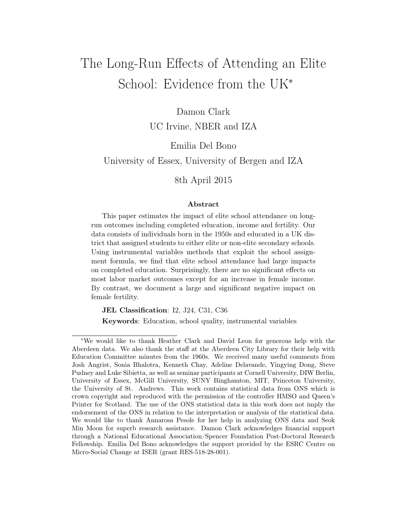# The Long-Run Effects of Attending an Elite School: Evidence from the UK<sup>∗</sup>

Damon Clark

UC Irvine, NBER and IZA

Emilia Del Bono

University of Essex, University of Bergen and IZA

8th April 2015

#### Abstract

This paper estimates the impact of elite school attendance on longrun outcomes including completed education, income and fertility. Our data consists of individuals born in the 1950s and educated in a UK district that assigned students to either elite or non-elite secondary schools. Using instrumental variables methods that exploit the school assignment formula, we find that elite school attendance had large impacts on completed education. Surprisingly, there are no significant effects on most labor market outcomes except for an increase in female income. By contrast, we document a large and significant negative impact on female fertility.

JEL Classification: I2, J24, C31, C36

Keywords: Education, school quality, instrumental variables

<sup>∗</sup>We would like to thank Heather Clark and David Leon for generous help with the Aberdeen data. We also thank the staff at the Aberdeen City Library for their help with Education Committee minutes from the 1960s. We received many useful comments from Josh Angrist, Sonia Bhalotra, Kenneth Chay, Adeline Delavande, Yingying Dong, Steve Pudney and Luke Sibietta, as well as seminar participants at Cornell University, DIW Berlin, University of Essex, McGill University, SUNY Binghamton, MIT, Princeton University, the University of St. Andrews. This work contains statistical data from ONS which is crown copyright and reproduced with the permission of the controller HMSO and Queen's Printer for Scotland. The use of the ONS statistical data in this work does not imply the endorsement of the ONS in relation to the interpretation or analysis of the statistical data. We would like to thank Annarosa Pesole for her help in analyzing ONS data and Seok Min Moon for superb research assistance. Damon Clark acknowledges financial support through a National Educational Association/Spencer Foundation Post-Doctoral Research Fellowship. Emilia Del Bono acknowledges the support provided by the ESRC Centre on Micro-Social Change at ISER (grant RES-518-28-001).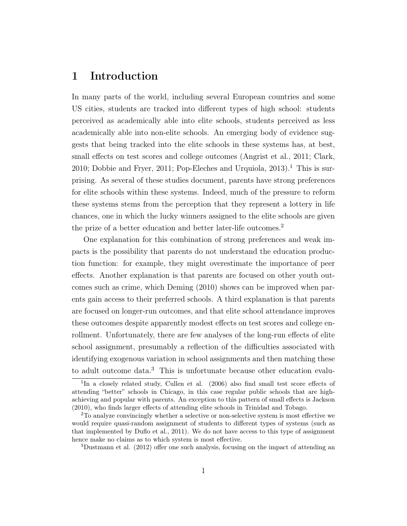# 1 Introduction

In many parts of the world, including several European countries and some US cities, students are tracked into different types of high school: students perceived as academically able into elite schools, students perceived as less academically able into non-elite schools. An emerging body of evidence suggests that being tracked into the elite schools in these systems has, at best, small effects on test scores and college outcomes (Angrist et al., 2011; Clark, 2010; Dobbie and Fryer, 2011; Pop-Eleches and Urquiola,  $2013$ ).<sup>1</sup> This is surprising. As several of these studies document, parents have strong preferences for elite schools within these systems. Indeed, much of the pressure to reform these systems stems from the perception that they represent a lottery in life chances, one in which the lucky winners assigned to the elite schools are given the prize of a better education and better later-life outcomes.<sup>2</sup>

One explanation for this combination of strong preferences and weak impacts is the possibility that parents do not understand the education production function: for example, they might overestimate the importance of peer effects. Another explanation is that parents are focused on other youth outcomes such as crime, which Deming (2010) shows can be improved when parents gain access to their preferred schools. A third explanation is that parents are focused on longer-run outcomes, and that elite school attendance improves these outcomes despite apparently modest effects on test scores and college enrollment. Unfortunately, there are few analyses of the long-run effects of elite school assignment, presumably a reflection of the difficulties associated with identifying exogenous variation in school assignments and then matching these to adult outcome data.<sup>3</sup> This is unfortunate because other education evalu-

<sup>&</sup>lt;sup>1</sup>In a closely related study, Cullen et al. (2006) also find small test score effects of attending "better" schools in Chicago, in this case regular public schools that are highachieving and popular with parents. An exception to this pattern of small effects is Jackson (2010), who finds larger effects of attending elite schools in Trinidad and Tobago.

<sup>2</sup>To analyze convincingly whether a selective or non-selective system is most effective we would require quasi-random assignment of students to different types of systems (such as that implemented by Duflo et al., 2011). We do not have access to this type of assignment hence make no claims as to which system is most effective.

<sup>3</sup>Dustmann et al. (2012) offer one such analysis, focusing on the impact of attending an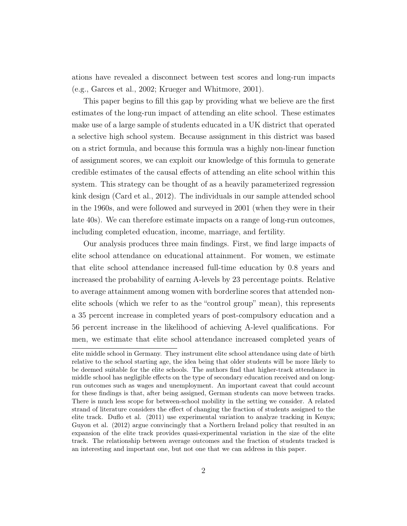ations have revealed a disconnect between test scores and long-run impacts (e.g., Garces et al., 2002; Krueger and Whitmore, 2001).

This paper begins to fill this gap by providing what we believe are the first estimates of the long-run impact of attending an elite school. These estimates make use of a large sample of students educated in a UK district that operated a selective high school system. Because assignment in this district was based on a strict formula, and because this formula was a highly non-linear function of assignment scores, we can exploit our knowledge of this formula to generate credible estimates of the causal effects of attending an elite school within this system. This strategy can be thought of as a heavily parameterized regression kink design (Card et al., 2012). The individuals in our sample attended school in the 1960s, and were followed and surveyed in 2001 (when they were in their late 40s). We can therefore estimate impacts on a range of long-run outcomes, including completed education, income, marriage, and fertility.

Our analysis produces three main findings. First, we find large impacts of elite school attendance on educational attainment. For women, we estimate that elite school attendance increased full-time education by 0.8 years and increased the probability of earning A-levels by 23 percentage points. Relative to average attainment among women with borderline scores that attended nonelite schools (which we refer to as the "control group" mean), this represents a 35 percent increase in completed years of post-compulsory education and a 56 percent increase in the likelihood of achieving A-level qualifications. For men, we estimate that elite school attendance increased completed years of

elite middle school in Germany. They instrument elite school attendance using date of birth relative to the school starting age, the idea being that older students will be more likely to be deemed suitable for the elite schools. The authors find that higher-track attendance in middle school has negligible effects on the type of secondary education received and on longrun outcomes such as wages and unemployment. An important caveat that could account for these findings is that, after being assigned, German students can move between tracks. There is much less scope for between-school mobility in the setting we consider. A related strand of literature considers the effect of changing the fraction of students assigned to the elite track. Duflo et al. (2011) use experimental variation to analyze tracking in Kenya; Guyon et al. (2012) argue convincingly that a Northern Ireland policy that resulted in an expansion of the elite track provides quasi-experimental variation in the size of the elite track. The relationship between average outcomes and the fraction of students tracked is an interesting and important one, but not one that we can address in this paper.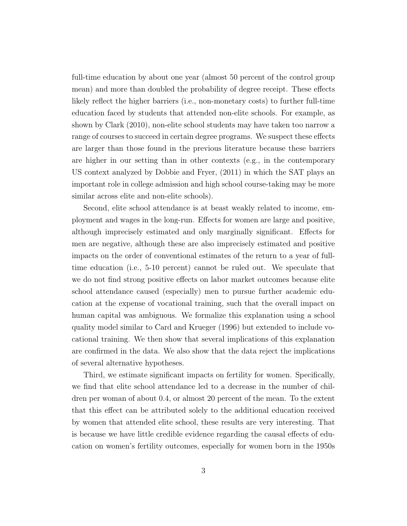full-time education by about one year (almost 50 percent of the control group mean) and more than doubled the probability of degree receipt. These effects likely reflect the higher barriers (i.e., non-monetary costs) to further full-time education faced by students that attended non-elite schools. For example, as shown by Clark (2010), non-elite school students may have taken too narrow a range of courses to succeed in certain degree programs. We suspect these effects are larger than those found in the previous literature because these barriers are higher in our setting than in other contexts (e.g., in the contemporary US context analyzed by Dobbie and Fryer, (2011) in which the SAT plays an important role in college admission and high school course-taking may be more similar across elite and non-elite schools).

Second, elite school attendance is at beast weakly related to income, employment and wages in the long-run. Effects for women are large and positive, although imprecisely estimated and only marginally significant. Effects for men are negative, although these are also imprecisely estimated and positive impacts on the order of conventional estimates of the return to a year of fulltime education (i.e., 5-10 percent) cannot be ruled out. We speculate that we do not find strong positive effects on labor market outcomes because elite school attendance caused (especially) men to pursue further academic education at the expense of vocational training, such that the overall impact on human capital was ambiguous. We formalize this explanation using a school quality model similar to Card and Krueger (1996) but extended to include vocational training. We then show that several implications of this explanation are confirmed in the data. We also show that the data reject the implications of several alternative hypotheses.

Third, we estimate significant impacts on fertility for women. Specifically, we find that elite school attendance led to a decrease in the number of children per woman of about 0.4, or almost 20 percent of the mean. To the extent that this effect can be attributed solely to the additional education received by women that attended elite school, these results are very interesting. That is because we have little credible evidence regarding the causal effects of education on women's fertility outcomes, especially for women born in the 1950s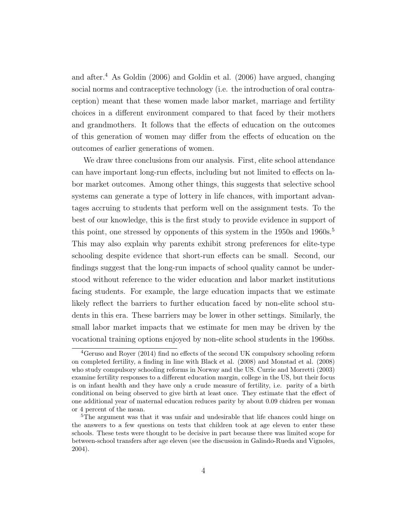and after.<sup>4</sup> As Goldin (2006) and Goldin et al. (2006) have argued, changing social norms and contraceptive technology (i.e. the introduction of oral contraception) meant that these women made labor market, marriage and fertility choices in a different environment compared to that faced by their mothers and grandmothers. It follows that the effects of education on the outcomes of this generation of women may differ from the effects of education on the outcomes of earlier generations of women.

We draw three conclusions from our analysis. First, elite school attendance can have important long-run effects, including but not limited to effects on labor market outcomes. Among other things, this suggests that selective school systems can generate a type of lottery in life chances, with important advantages accruing to students that perform well on the assignment tests. To the best of our knowledge, this is the first study to provide evidence in support of this point, one stressed by opponents of this system in the 1950s and 1960s.<sup>5</sup> This may also explain why parents exhibit strong preferences for elite-type schooling despite evidence that short-run effects can be small. Second, our findings suggest that the long-run impacts of school quality cannot be understood without reference to the wider education and labor market institutions facing students. For example, the large education impacts that we estimate likely reflect the barriers to further education faced by non-elite school students in this era. These barriers may be lower in other settings. Similarly, the small labor market impacts that we estimate for men may be driven by the vocational training options enjoyed by non-elite school students in the 1960ss.

<sup>4</sup>Geruso and Royer (2014) find no effects of the second UK compulsory schooling reform on completed fertility, a finding in line with Black et al. (2008) and Monstad et al. (2008) who study compulsory schooling reforms in Norway and the US. Currie and Morretti (2003) examine fertility responses to a different education margin, college in the US, but their focus is on infant health and they have only a crude measure of fertility, i.e. parity of a birth conditional on being observed to give birth at least once. They estimate that the effect of one additional year of maternal education reduces parity by about 0.09 chidren per woman or 4 percent of the mean.

<sup>&</sup>lt;sup>5</sup>The argument was that it was unfair and undesirable that life chances could hinge on the answers to a few questions on tests that children took at age eleven to enter these schools. These tests were thought to be decisive in part because there was limited scope for between-school transfers after age eleven (see the discussion in Galindo-Rueda and Vignoles, 2004).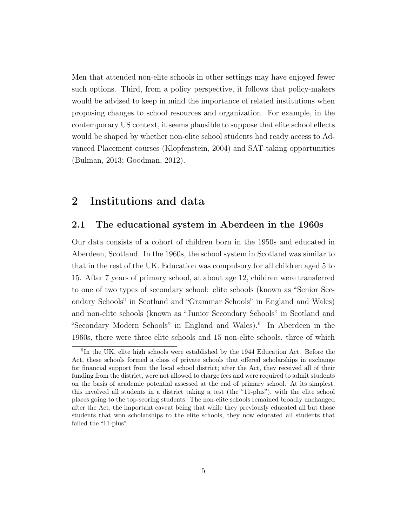Men that attended non-elite schools in other settings may have enjoyed fewer such options. Third, from a policy perspective, it follows that policy-makers would be advised to keep in mind the importance of related institutions when proposing changes to school resources and organization. For example, in the contemporary US context, it seems plausible to suppose that elite school effects would be shaped by whether non-elite school students had ready access to Advanced Placement courses (Klopfenstein, 2004) and SAT-taking opportunities (Bulman, 2013; Goodman, 2012).

# 2 Institutions and data

### 2.1 The educational system in Aberdeen in the 1960s

Our data consists of a cohort of children born in the 1950s and educated in Aberdeen, Scotland. In the 1960s, the school system in Scotland was similar to that in the rest of the UK. Education was compulsory for all children aged 5 to 15. After 7 years of primary school, at about age 12, children were transferred to one of two types of secondary school: elite schools (known as "Senior Secondary Schools" in Scotland and "Grammar Schools" in England and Wales) and non-elite schools (known as "Junior Secondary Schools" in Scotland and "Secondary Modern Schools" in England and Wales).<sup>6</sup> In Aberdeen in the 1960s, there were three elite schools and 15 non-elite schools, three of which

<sup>&</sup>lt;sup>6</sup>In the UK, elite high schools were established by the 1944 Education Act. Before the Act, these schools formed a class of private schools that offered scholarships in exchange for financial support from the local school district; after the Act, they received all of their funding from the district, were not allowed to charge fees and were required to admit students on the basis of academic potential assessed at the end of primary school. At its simplest, this involved all students in a district taking a test (the "11-plus"), with the elite school places going to the top-scoring students. The non-elite schools remained broadly unchanged after the Act, the important caveat being that while they previously educated all but those students that won scholarships to the elite schools, they now educated all students that failed the "11-plus".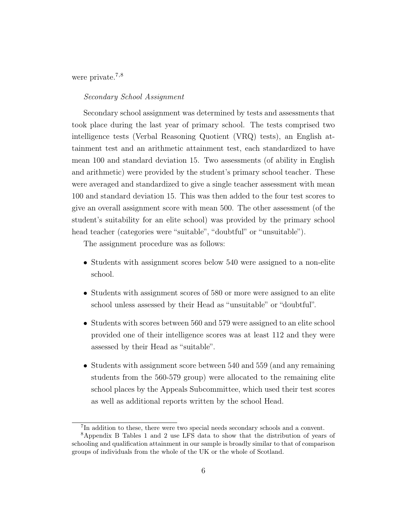were private.<sup>7,8</sup>

#### Secondary School Assignment

Secondary school assignment was determined by tests and assessments that took place during the last year of primary school. The tests comprised two intelligence tests (Verbal Reasoning Quotient (VRQ) tests), an English attainment test and an arithmetic attainment test, each standardized to have mean 100 and standard deviation 15. Two assessments (of ability in English and arithmetic) were provided by the student's primary school teacher. These were averaged and standardized to give a single teacher assessment with mean 100 and standard deviation 15. This was then added to the four test scores to give an overall assignment score with mean 500. The other assessment (of the student's suitability for an elite school) was provided by the primary school head teacher (categories were "suitable", "doubtful" or "unsuitable").

The assignment procedure was as follows:

- Students with assignment scores below 540 were assigned to a non-elite school.
- Students with assignment scores of 580 or more were assigned to an elite school unless assessed by their Head as "unsuitable" or "doubtful".
- Students with scores between 560 and 579 were assigned to an elite school provided one of their intelligence scores was at least 112 and they were assessed by their Head as "suitable".
- Students with assignment score between 540 and 559 (and any remaining students from the 560-579 group) were allocated to the remaining elite school places by the Appeals Subcommittee, which used their test scores as well as additional reports written by the school Head.

<sup>7</sup> In addition to these, there were two special needs secondary schools and a convent.

<sup>8</sup>Appendix B Tables 1 and 2 use LFS data to show that the distribution of years of schooling and qualification attainment in our sample is broadly similar to that of comparison groups of individuals from the whole of the UK or the whole of Scotland.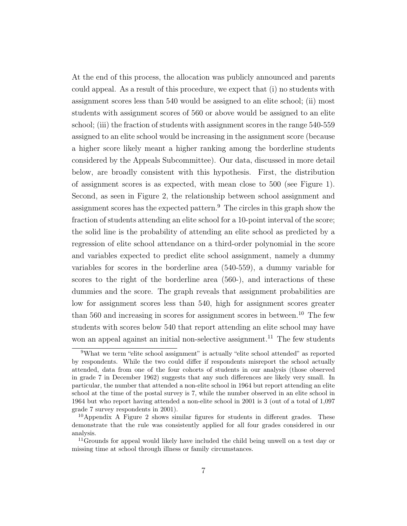At the end of this process, the allocation was publicly announced and parents could appeal. As a result of this procedure, we expect that (i) no students with assignment scores less than 540 would be assigned to an elite school; (ii) most students with assignment scores of 560 or above would be assigned to an elite school; (iii) the fraction of students with assignment scores in the range 540-559 assigned to an elite school would be increasing in the assignment score (because a higher score likely meant a higher ranking among the borderline students considered by the Appeals Subcommittee). Our data, discussed in more detail below, are broadly consistent with this hypothesis. First, the distribution of assignment scores is as expected, with mean close to 500 (see Figure 1). Second, as seen in Figure 2, the relationship between school assignment and assignment scores has the expected pattern.<sup>9</sup> The circles in this graph show the fraction of students attending an elite school for a 10-point interval of the score; the solid line is the probability of attending an elite school as predicted by a regression of elite school attendance on a third-order polynomial in the score and variables expected to predict elite school assignment, namely a dummy variables for scores in the borderline area (540-559), a dummy variable for scores to the right of the borderline area (560-), and interactions of these dummies and the score. The graph reveals that assignment probabilities are low for assignment scores less than 540, high for assignment scores greater than 560 and increasing in scores for assignment scores in between.<sup>10</sup> The few students with scores below 540 that report attending an elite school may have won an appeal against an initial non-selective assignment.<sup>11</sup> The few students

<sup>9</sup>What we term "elite school assignment" is actually "elite school attended" as reported by respondents. While the two could differ if respondents misreport the school actually attended, data from one of the four cohorts of students in our analysis (those observed in grade 7 in December 1962) suggests that any such differences are likely very small. In particular, the number that attended a non-elite school in 1964 but report attending an elite school at the time of the postal survey is 7, while the number observed in an elite school in 1964 but who report having attended a non-elite school in 2001 is 3 (out of a total of 1,097 grade 7 survey respondents in 2001).

<sup>&</sup>lt;sup>10</sup>Appendix A Figure 2 shows similar figures for students in different grades. These demonstrate that the rule was consistently applied for all four grades considered in our analysis.

<sup>&</sup>lt;sup>11</sup>Grounds for appeal would likely have included the child being unwell on a test day or missing time at school through illness or family circumstances.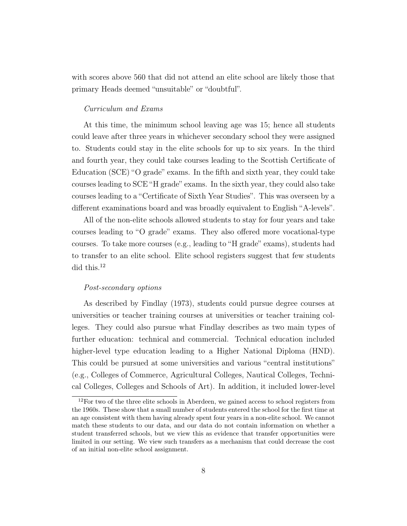with scores above 560 that did not attend an elite school are likely those that primary Heads deemed "unsuitable" or "doubtful".

#### Curriculum and Exams

At this time, the minimum school leaving age was 15; hence all students could leave after three years in whichever secondary school they were assigned to. Students could stay in the elite schools for up to six years. In the third and fourth year, they could take courses leading to the Scottish Certificate of Education (SCE) "O grade" exams. In the fifth and sixth year, they could take courses leading to SCE "H grade" exams. In the sixth year, they could also take courses leading to a "Certificate of Sixth Year Studies". This was overseen by a different examinations board and was broadly equivalent to English "A-levels".

All of the non-elite schools allowed students to stay for four years and take courses leading to "O grade" exams. They also offered more vocational-type courses. To take more courses (e.g., leading to "H grade" exams), students had to transfer to an elite school. Elite school registers suggest that few students did this.<sup>12</sup>

#### Post-secondary options

As described by Findlay (1973), students could pursue degree courses at universities or teacher training courses at universities or teacher training colleges. They could also pursue what Findlay describes as two main types of further education: technical and commercial. Technical education included higher-level type education leading to a Higher National Diploma (HND). This could be pursued at some universities and various "central institutions" (e.g., Colleges of Commerce, Agricultural Colleges, Nautical Colleges, Technical Colleges, Colleges and Schools of Art). In addition, it included lower-level

<sup>&</sup>lt;sup>12</sup>For two of the three elite schools in Aberdeen, we gained access to school registers from the 1960s. These show that a small number of students entered the school for the first time at an age consistent with them having already spent four years in a non-elite school. We cannot match these students to our data, and our data do not contain information on whether a student transferred schools, but we view this as evidence that transfer opportunities were limited in our setting. We view such transfers as a mechanism that could decrease the cost of an initial non-elite school assignment.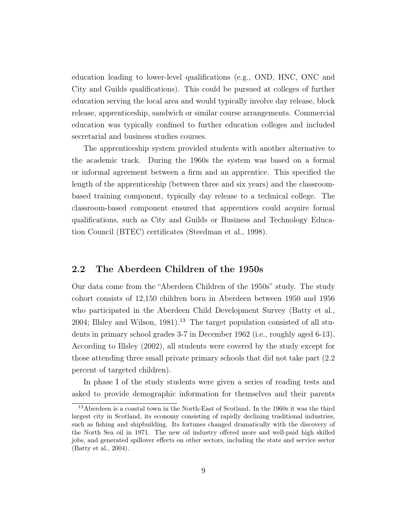education leading to lower-level qualifications (e.g., OND, HNC, ONC and City and Guilds qualifications). This could be pursued at colleges of further education serving the local area and would typically involve day release, block release, apprenticeship, sandwich or similar course arrangements. Commercial education was typically confined to further education colleges and included secretarial and business studies courses.

The apprenticeship system provided students with another alternative to the academic track. During the 1960s the system was based on a formal or informal agreement between a firm and an apprentice. This specified the length of the apprenticeship (between three and six years) and the classroombased training component, typically day release to a technical college. The classroom-based component ensured that apprentices could acquire formal qualifications, such as City and Guilds or Business and Technology Education Council (BTEC) certificates (Steedman et al., 1998).

### 2.2 The Aberdeen Children of the 1950s

Our data come from the "Aberdeen Children of the 1950s" study. The study cohort consists of 12,150 children born in Aberdeen between 1950 and 1956 who participated in the Aberdeen Child Development Survey (Batty et al., 2004; Illsley and Wilson, 1981).<sup>13</sup> The target population consisted of all students in primary school grades 3-7 in December 1962 (i.e., roughly aged 6-13). According to Illsley (2002), all students were covered by the study except for those attending three small private primary schools that did not take part (2.2 percent of targeted children).

In phase I of the study students were given a series of reading tests and asked to provide demographic information for themselves and their parents

<sup>&</sup>lt;sup>13</sup>Aberdeen is a coastal town in the North-East of Scotland. In the 1960s it was the third largest city in Scotland, its economy consisting of rapidly declining traditional industries, such as fishing and shipbuilding. Its fortunes changed dramatically with the discovery of the North Sea oil in 1971. The new oil industry offered more and well-paid high skilled jobs, and generated spillover effects on other sectors, including the state and service sector (Batty et al., 2004).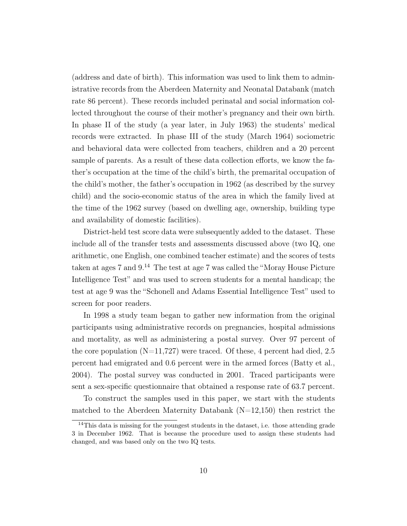(address and date of birth). This information was used to link them to administrative records from the Aberdeen Maternity and Neonatal Databank (match rate 86 percent). These records included perinatal and social information collected throughout the course of their mother's pregnancy and their own birth. In phase II of the study (a year later, in July 1963) the students' medical records were extracted. In phase III of the study (March 1964) sociometric and behavioral data were collected from teachers, children and a 20 percent sample of parents. As a result of these data collection efforts, we know the father's occupation at the time of the child's birth, the premarital occupation of the child's mother, the father's occupation in 1962 (as described by the survey child) and the socio-economic status of the area in which the family lived at the time of the 1962 survey (based on dwelling age, ownership, building type and availability of domestic facilities).

District-held test score data were subsequently added to the dataset. These include all of the transfer tests and assessments discussed above (two IQ, one arithmetic, one English, one combined teacher estimate) and the scores of tests taken at ages 7 and  $9<sup>14</sup>$ . The test at age 7 was called the "Moray House Picture" Intelligence Test" and was used to screen students for a mental handicap; the test at age 9 was the "Schonell and Adams Essential Intelligence Test" used to screen for poor readers.

In 1998 a study team began to gather new information from the original participants using administrative records on pregnancies, hospital admissions and mortality, as well as administering a postal survey. Over 97 percent of the core population  $(N=11,727)$  were traced. Of these, 4 percent had died, 2.5 percent had emigrated and 0.6 percent were in the armed forces (Batty et al., 2004). The postal survey was conducted in 2001. Traced participants were sent a sex-specific questionnaire that obtained a response rate of 63.7 percent.

To construct the samples used in this paper, we start with the students matched to the Aberdeen Maternity Databank  $(N=12,150)$  then restrict the

<sup>&</sup>lt;sup>14</sup>This data is missing for the youngest students in the dataset, i.e. those attending grade 3 in December 1962. That is because the procedure used to assign these students had changed, and was based only on the two IQ tests.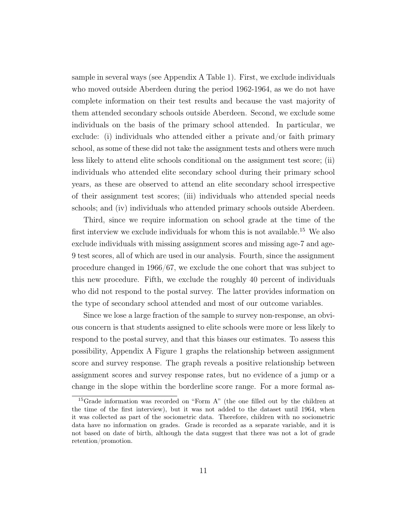sample in several ways (see Appendix A Table 1). First, we exclude individuals who moved outside Aberdeen during the period 1962-1964, as we do not have complete information on their test results and because the vast majority of them attended secondary schools outside Aberdeen. Second, we exclude some individuals on the basis of the primary school attended. In particular, we exclude: (i) individuals who attended either a private and/or faith primary school, as some of these did not take the assignment tests and others were much less likely to attend elite schools conditional on the assignment test score; (ii) individuals who attended elite secondary school during their primary school years, as these are observed to attend an elite secondary school irrespective of their assignment test scores; (iii) individuals who attended special needs schools; and (iv) individuals who attended primary schools outside Aberdeen.

Third, since we require information on school grade at the time of the first interview we exclude individuals for whom this is not available.<sup>15</sup> We also exclude individuals with missing assignment scores and missing age-7 and age-9 test scores, all of which are used in our analysis. Fourth, since the assignment procedure changed in 1966/67, we exclude the one cohort that was subject to this new procedure. Fifth, we exclude the roughly 40 percent of individuals who did not respond to the postal survey. The latter provides information on the type of secondary school attended and most of our outcome variables.

Since we lose a large fraction of the sample to survey non-response, an obvious concern is that students assigned to elite schools were more or less likely to respond to the postal survey, and that this biases our estimates. To assess this possibility, Appendix A Figure 1 graphs the relationship between assignment score and survey response. The graph reveals a positive relationship between assignment scores and survey response rates, but no evidence of a jump or a change in the slope within the borderline score range. For a more formal as-

<sup>15</sup>Grade information was recorded on "Form A" (the one filled out by the children at the time of the first interview), but it was not added to the dataset until 1964, when it was collected as part of the sociometric data. Therefore, children with no sociometric data have no information on grades. Grade is recorded as a separate variable, and it is not based on date of birth, although the data suggest that there was not a lot of grade retention/promotion.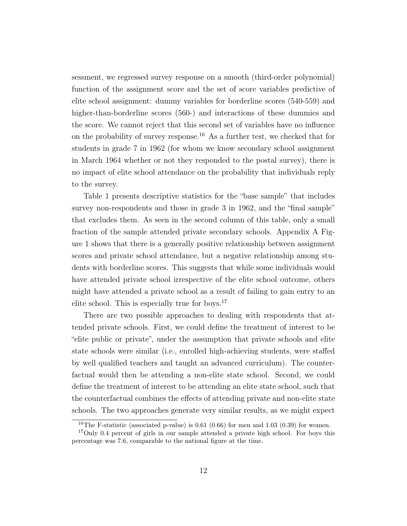sessment, we regressed survey response on a smooth (third-order polynomial) function of the assignment score and the set of score variables predictive of elite school assignment: dummy variables for borderline scores (540-559) and higher-than-borderline scores (560-) and interactions of these dummies and the score. We cannot reject that this second set of variables have no influence on the probability of survey response.<sup>16</sup> As a further test, we checked that for students in grade 7 in 1962 (for whom we know secondary school assignment in March 1964 whether or not they responded to the postal survey), there is no impact of elite school attendance on the probability that individuals reply to the survey.

Table 1 presents descriptive statistics for the "base sample" that includes survey non-respondents and those in grade 3 in 1962, and the "final sample" that excludes them. As seen in the second column of this table, only a small fraction of the sample attended private secondary schools. Appendix A Figure 1 shows that there is a generally positive relationship between assignment scores and private school attendance, but a negative relationship among students with borderline scores. This suggests that while some individuals would have attended private school irrespective of the elite school outcome, others might have attended a private school as a result of failing to gain entry to an elite school. This is especially true for boys.<sup>17</sup>

There are two possible approaches to dealing with respondents that attended private schools. First, we could define the treatment of interest to be "elite public or private", under the assumption that private schools and elite state schools were similar (i.e., enrolled high-achieving students, were staffed by well qualified teachers and taught an advanced curriculum). The counterfactual would then be attending a non-elite state school. Second, we could define the treatment of interest to be attending an elite state school, such that the counterfactual combines the effects of attending private and non-elite state schools. The two approaches generate very similar results, as we might expect

<sup>&</sup>lt;sup>16</sup>The F-statistic (associated p-value) is 0.61 (0.66) for men and 1.03 (0.39) for women.

<sup>&</sup>lt;sup>17</sup>Only 0.4 percent of girls in our sample attended a private high school. For boys this percentage was 7.6, comparable to the national figure at the time.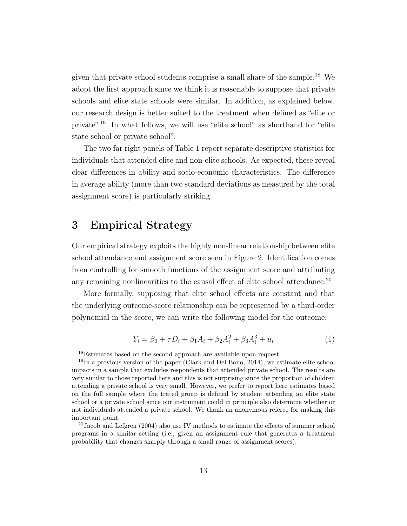given that private school students comprise a small share of the sample.<sup>18</sup> We adopt the first approach since we think it is reasonable to suppose that private schools and elite state schools were similar. In addition, as explained below, our research design is better suited to the treatment when defined as "elite or private".<sup>19</sup> In what follows, we will use "elite school" as shorthand for "elite state school or private school".

The two far right panels of Table 1 report separate descriptive statistics for individuals that attended elite and non-elite schools. As expected, these reveal clear differences in ability and socio-economic characteristics. The difference in average ability (more than two standard deviations as measured by the total assignment score) is particularly striking.

# 3 Empirical Strategy

Our empirical strategy exploits the highly non-linear relationship between elite school attendance and assignment score seen in Figure 2. Identification comes from controlling for smooth functions of the assignment score and attributing any remaining nonlinearities to the causal effect of elite school attendance.<sup>20</sup>

More formally, supposing that elite school effects are constant and that the underlying outcome-score relationship can be represented by a third-order polynomial in the score, we can write the following model for the outcome:

$$
Y_i = \beta_0 + \tau D_i + \beta_1 A_i + \beta_2 A_i^2 + \beta_3 A_i^3 + u_i \tag{1}
$$

<sup>18</sup>Estimates based on the second approach are available upon request.

 $19\text{In a previous version of the paper (Clark and Del Bono, 2014), we estimate elite school}$ impacts in a sample that excludes respondents that attended private school. The results are very similar to those reported here and this is not surprising since the proportion of children attending a private school is very small. However, we prefer to report here estimates based on the full sample where the trated group is defined by student attending an elite state school or a private school since our instrument could in principle also determine whether or not individuals attended a private school. We thank an anonymous referee for making this important point.

 $20$ Jacob and Lefgren (2004) also use IV methods to estimate the effects of summer school programs in a similar setting (i.e., given an assignment rule that generates a treatment probability that changes sharply through a small range of assignment scores).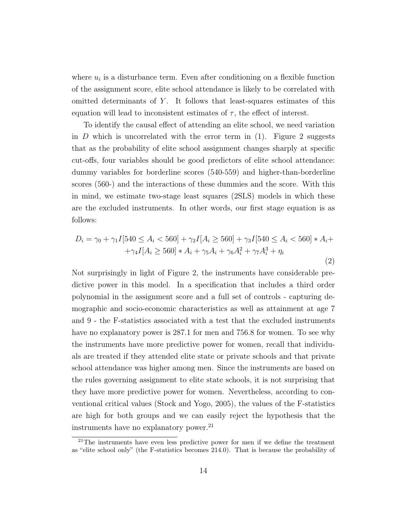where  $u_i$  is a disturbance term. Even after conditioning on a flexible function of the assignment score, elite school attendance is likely to be correlated with omitted determinants of  $Y$ . It follows that least-squares estimates of this equation will lead to inconsistent estimates of  $\tau$ , the effect of interest.

To identify the causal effect of attending an elite school, we need variation in D which is uncorrelated with the error term in  $(1)$ . Figure 2 suggests that as the probability of elite school assignment changes sharply at specific cut-offs, four variables should be good predictors of elite school attendance: dummy variables for borderline scores (540-559) and higher-than-borderline scores (560-) and the interactions of these dummies and the score. With this in mind, we estimate two-stage least squares (2SLS) models in which these are the excluded instruments. In other words, our first stage equation is as follows:

$$
D_i = \gamma_0 + \gamma_1 I[540 \le A_i < 560] + \gamma_2 I[A_i \ge 560] + \gamma_3 I[540 \le A_i < 560] * A_i + \gamma_4 I[A_i \ge 560] * A_i + \gamma_5 A_i + \gamma_6 A_i^2 + \gamma_7 A_i^3 + \eta_i \tag{2}
$$

Not surprisingly in light of Figure 2, the instruments have considerable predictive power in this model. In a specification that includes a third order polynomial in the assignment score and a full set of controls - capturing demographic and socio-economic characteristics as well as attainment at age 7 and 9 - the F-statistics associated with a test that the excluded instruments have no explanatory power is 287.1 for men and 756.8 for women. To see why the instruments have more predictive power for women, recall that individuals are treated if they attended elite state or private schools and that private school attendance was higher among men. Since the instruments are based on the rules governing assignment to elite state schools, it is not surprising that they have more predictive power for women. Nevertheless, according to conventional critical values (Stock and Yogo, 2005), the values of the F-statistics are high for both groups and we can easily reject the hypothesis that the instruments have no explanatory power.<sup>21</sup>

<sup>21</sup>The instruments have even less predictive power for men if we define the treatment as "elite school only" (the F-statistics becomes 214.0). That is because the probability of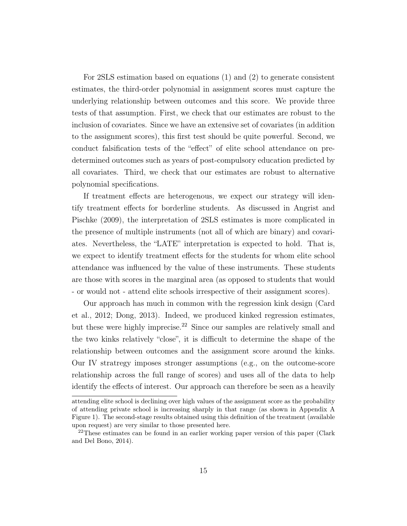For 2SLS estimation based on equations (1) and (2) to generate consistent estimates, the third-order polynomial in assignment scores must capture the underlying relationship between outcomes and this score. We provide three tests of that assumption. First, we check that our estimates are robust to the inclusion of covariates. Since we have an extensive set of covariates (in addition to the assignment scores), this first test should be quite powerful. Second, we conduct falsification tests of the "effect" of elite school attendance on predetermined outcomes such as years of post-compulsory education predicted by all covariates. Third, we check that our estimates are robust to alternative polynomial specifications.

If treatment effects are heterogenous, we expect our strategy will identify treatment effects for borderline students. As discussed in Angrist and Pischke (2009), the interpretation of 2SLS estimates is more complicated in the presence of multiple instruments (not all of which are binary) and covariates. Nevertheless, the "LATE" interpretation is expected to hold. That is, we expect to identify treatment effects for the students for whom elite school attendance was influenced by the value of these instruments. These students are those with scores in the marginal area (as opposed to students that would - or would not - attend elite schools irrespective of their assignment scores).

Our approach has much in common with the regression kink design (Card et al., 2012; Dong, 2013). Indeed, we produced kinked regression estimates, but these were highly imprecise.<sup>22</sup> Since our samples are relatively small and the two kinks relatively "close", it is difficult to determine the shape of the relationship between outcomes and the assignment score around the kinks. Our IV stratregy imposes stronger assumptions (e.g., on the outcome-score relationship across the full range of scores) and uses all of the data to help identify the effects of interest. Our approach can therefore be seen as a heavily

attending elite school is declining over high values of the assignment score as the probability of attending private school is increasing sharply in that range (as shown in Appendix A Figure 1). The second-stage results obtained using this definition of the treatment (available upon request) are very similar to those presented here.

<sup>&</sup>lt;sup>22</sup>These estimates can be found in an earlier working paper version of this paper (Clark and Del Bono, 2014).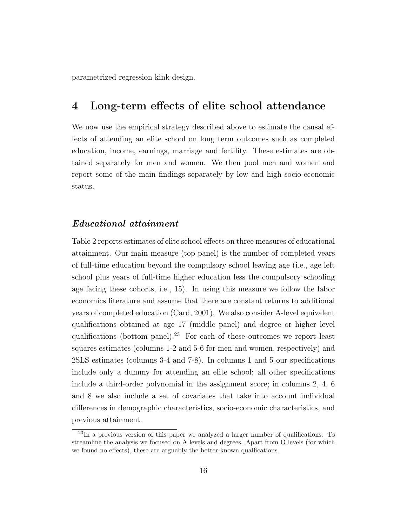parametrized regression kink design.

### 4 Long-term effects of elite school attendance

We now use the empirical strategy described above to estimate the causal effects of attending an elite school on long term outcomes such as completed education, income, earnings, marriage and fertility. These estimates are obtained separately for men and women. We then pool men and women and report some of the main findings separately by low and high socio-economic status.

### Educational attainment

Table 2 reports estimates of elite school effects on three measures of educational attainment. Our main measure (top panel) is the number of completed years of full-time education beyond the compulsory school leaving age (i.e., age left school plus years of full-time higher education less the compulsory schooling age facing these cohorts, i.e., 15). In using this measure we follow the labor economics literature and assume that there are constant returns to additional years of completed education (Card, 2001). We also consider A-level equivalent qualifications obtained at age 17 (middle panel) and degree or higher level qualifications (bottom panel).<sup>23</sup> For each of these outcomes we report least squares estimates (columns 1-2 and 5-6 for men and women, respectively) and 2SLS estimates (columns 3-4 and 7-8). In columns 1 and 5 our specifications include only a dummy for attending an elite school; all other specifications include a third-order polynomial in the assignment score; in columns 2, 4, 6 and 8 we also include a set of covariates that take into account individual differences in demographic characteristics, socio-economic characteristics, and previous attainment.

<sup>23</sup>In a previous version of this paper we analyzed a larger number of qualifications. To streamline the analysis we focused on A levels and degrees. Apart from O levels (for which we found no effects), these are arguably the better-known qualfications.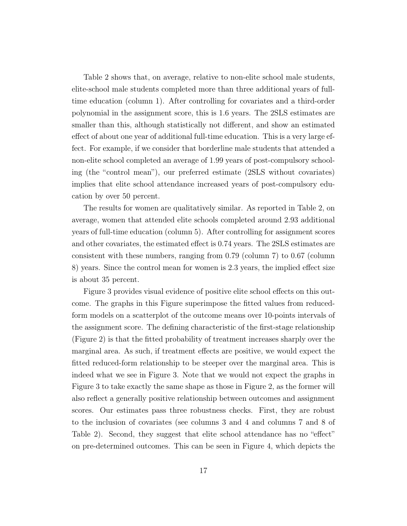Table 2 shows that, on average, relative to non-elite school male students, elite-school male students completed more than three additional years of fulltime education (column 1). After controlling for covariates and a third-order polynomial in the assignment score, this is 1.6 years. The 2SLS estimates are smaller than this, although statistically not different, and show an estimated effect of about one year of additional full-time education. This is a very large effect. For example, if we consider that borderline male students that attended a non-elite school completed an average of 1.99 years of post-compulsory schooling (the "control mean"), our preferred estimate (2SLS without covariates) implies that elite school attendance increased years of post-compulsory education by over 50 percent.

The results for women are qualitatively similar. As reported in Table 2, on average, women that attended elite schools completed around 2.93 additional years of full-time education (column 5). After controlling for assignment scores and other covariates, the estimated effect is 0.74 years. The 2SLS estimates are consistent with these numbers, ranging from 0.79 (column 7) to 0.67 (column 8) years. Since the control mean for women is 2.3 years, the implied effect size is about 35 percent.

Figure 3 provides visual evidence of positive elite school effects on this outcome. The graphs in this Figure superimpose the fitted values from reducedform models on a scatterplot of the outcome means over 10-points intervals of the assignment score. The defining characteristic of the first-stage relationship (Figure 2) is that the fitted probability of treatment increases sharply over the marginal area. As such, if treatment effects are positive, we would expect the fitted reduced-form relationship to be steeper over the marginal area. This is indeed what we see in Figure 3. Note that we would not expect the graphs in Figure 3 to take exactly the same shape as those in Figure 2, as the former will also reflect a generally positive relationship between outcomes and assignment scores. Our estimates pass three robustness checks. First, they are robust to the inclusion of covariates (see columns 3 and 4 and columns 7 and 8 of Table 2). Second, they suggest that elite school attendance has no "effect" on pre-determined outcomes. This can be seen in Figure 4, which depicts the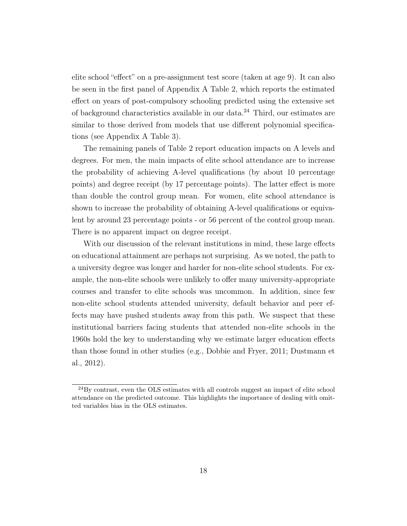elite school "effect" on a pre-assignment test score (taken at age 9). It can also be seen in the first panel of Appendix A Table 2, which reports the estimated effect on years of post-compulsory schooling predicted using the extensive set of background characteristics available in our data.<sup>24</sup> Third, our estimates are similar to those derived from models that use different polynomial specifications (see Appendix A Table 3).

The remaining panels of Table 2 report education impacts on A levels and degrees. For men, the main impacts of elite school attendance are to increase the probability of achieving A-level qualifications (by about 10 percentage points) and degree receipt (by 17 percentage points). The latter effect is more than double the control group mean. For women, elite school attendance is shown to increase the probability of obtaining A-level qualifications or equivalent by around 23 percentage points - or 56 percent of the control group mean. There is no apparent impact on degree receipt.

With our discussion of the relevant institutions in mind, these large effects on educational attainment are perhaps not surprising. As we noted, the path to a university degree was longer and harder for non-elite school students. For example, the non-elite schools were unlikely to offer many university-appropriate courses and transfer to elite schools was uncommon. In addition, since few non-elite school students attended university, default behavior and peer effects may have pushed students away from this path. We suspect that these institutional barriers facing students that attended non-elite schools in the 1960s hold the key to understanding why we estimate larger education effects than those found in other studies (e.g., Dobbie and Fryer, 2011; Dustmann et al., 2012).

<sup>&</sup>lt;sup>24</sup>By contrast, even the OLS estimates with all controls suggest an impact of elite school attendance on the predicted outcome. This highlights the importance of dealing with omitted variables bias in the OLS estimates.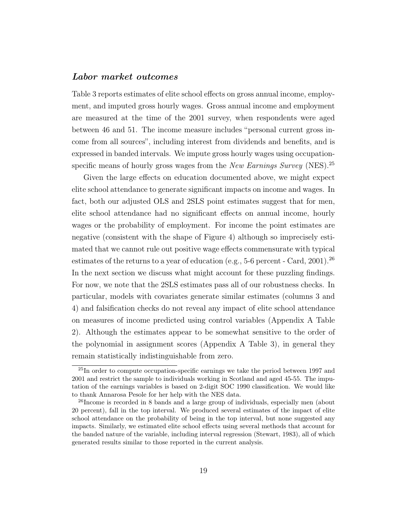#### Labor market outcomes

Table 3 reports estimates of elite school effects on gross annual income, employment, and imputed gross hourly wages. Gross annual income and employment are measured at the time of the 2001 survey, when respondents were aged between 46 and 51. The income measure includes "personal current gross income from all sources", including interest from dividends and benefits, and is expressed in banded intervals. We impute gross hourly wages using occupationspecific means of hourly gross wages from the *New Earnings Survey* (NES).<sup>25</sup>

Given the large effects on education documented above, we might expect elite school attendance to generate significant impacts on income and wages. In fact, both our adjusted OLS and 2SLS point estimates suggest that for men, elite school attendance had no significant effects on annual income, hourly wages or the probability of employment. For income the point estimates are negative (consistent with the shape of Figure 4) although so imprecisely estimated that we cannot rule out positive wage effects commensurate with typical estimates of the returns to a year of education (e.g., 5-6 percent - Card, 2001).<sup>26</sup> In the next section we discuss what might account for these puzzling findings. For now, we note that the 2SLS estimates pass all of our robustness checks. In particular, models with covariates generate similar estimates (columns 3 and 4) and falsification checks do not reveal any impact of elite school attendance on measures of income predicted using control variables (Appendix A Table 2). Although the estimates appear to be somewhat sensitive to the order of the polynomial in assignment scores (Appendix A Table 3), in general they remain statistically indistinguishable from zero.

<sup>&</sup>lt;sup>25</sup>In order to compute occupation-specific earnings we take the period between 1997 and 2001 and restrict the sample to individuals working in Scotland and aged 45-55. The imputation of the earnings variables is based on 2-digit SOC 1990 classification. We would like to thank Annarosa Pesole for her help with the NES data.

<sup>&</sup>lt;sup>26</sup>Income is recorded in 8 bands and a large group of individuals, especially men (about 20 percent), fall in the top interval. We produced several estimates of the impact of elite school attendance on the probability of being in the top interval, but none suggested any impacts. Similarly, we estimated elite school effects using several methods that account for the banded nature of the variable, including interval regression (Stewart, 1983), all of which generated results similar to those reported in the current analysis.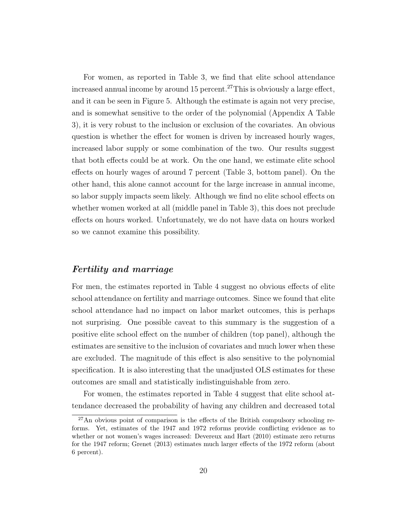For women, as reported in Table 3, we find that elite school attendance increased annual income by around 15 percent.<sup>27</sup>This is obviously a large effect, and it can be seen in Figure 5. Although the estimate is again not very precise, and is somewhat sensitive to the order of the polynomial (Appendix A Table 3), it is very robust to the inclusion or exclusion of the covariates. An obvious question is whether the effect for women is driven by increased hourly wages, increased labor supply or some combination of the two. Our results suggest that both effects could be at work. On the one hand, we estimate elite school effects on hourly wages of around 7 percent (Table 3, bottom panel). On the other hand, this alone cannot account for the large increase in annual income, so labor supply impacts seem likely. Although we find no elite school effects on whether women worked at all (middle panel in Table 3), this does not preclude effects on hours worked. Unfortunately, we do not have data on hours worked so we cannot examine this possibility.

### Fertility and marriage

For men, the estimates reported in Table 4 suggest no obvious effects of elite school attendance on fertility and marriage outcomes. Since we found that elite school attendance had no impact on labor market outcomes, this is perhaps not surprising. One possible caveat to this summary is the suggestion of a positive elite school effect on the number of children (top panel), although the estimates are sensitive to the inclusion of covariates and much lower when these are excluded. The magnitude of this effect is also sensitive to the polynomial specification. It is also interesting that the unadjusted OLS estimates for these outcomes are small and statistically indistinguishable from zero.

For women, the estimates reported in Table 4 suggest that elite school attendance decreased the probability of having any children and decreased total

<sup>27</sup>An obvious point of comparison is the effects of the British compulsory schooling reforms. Yet, estimates of the 1947 and 1972 reforms provide conflicting evidence as to whether or not women's wages increased: Devereux and Hart (2010) estimate zero returns for the 1947 reform; Grenet (2013) estimates much larger effects of the 1972 reform (about 6 percent).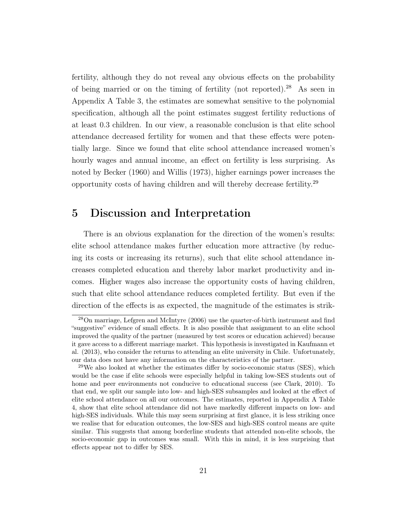fertility, although they do not reveal any obvious effects on the probability of being married or on the timing of fertility (not reported).<sup>28</sup> As seen in Appendix A Table 3, the estimates are somewhat sensitive to the polynomial specification, although all the point estimates suggest fertility reductions of at least 0.3 children. In our view, a reasonable conclusion is that elite school attendance decreased fertility for women and that these effects were potentially large. Since we found that elite school attendance increased women's hourly wages and annual income, an effect on fertility is less surprising. As noted by Becker (1960) and Willis (1973), higher earnings power increases the opportunity costs of having children and will thereby decrease fertility.<sup>29</sup>

### 5 Discussion and Interpretation

There is an obvious explanation for the direction of the women's results: elite school attendance makes further education more attractive (by reducing its costs or increasing its returns), such that elite school attendance increases completed education and thereby labor market productivity and incomes. Higher wages also increase the opportunity costs of having children, such that elite school attendance reduces completed fertility. But even if the direction of the effects is as expected, the magnitude of the estimates is strik-

<sup>28</sup>On marriage, Lefgren and McIntyre (2006) use the quarter-of-birth instrument and find "suggestive" evidence of small effects. It is also possible that assignment to an elite school improved the quality of the partner (measured by test scores or education achieved) because it gave access to a different marriage market. This hypothesis is investigated in Kaufmann et al. (2013), who consider the returns to attending an elite university in Chile. Unfortunately, our data does not have any information on the characteristics of the partner.

 $29$ We also looked at whether the estimates differ by socio-economic status (SES), which would be the case if elite schools were especially helpful in taking low-SES students out of home and peer environments not conducive to educational success (see Clark, 2010). To that end, we split our sample into low- and high-SES subsamples and looked at the effect of elite school attendance on all our outcomes. The estimates, reported in Appendix A Table 4, show that elite school attendance did not have markedly different impacts on low- and high-SES individuals. While this may seem surprising at first glance, it is less striking once we realise that for education outcomes, the low-SES and high-SES control means are quite similar. This suggests that among borderline students that attended non-elite schools, the socio-economic gap in outcomes was small. With this in mind, it is less surprising that effects appear not to differ by SES.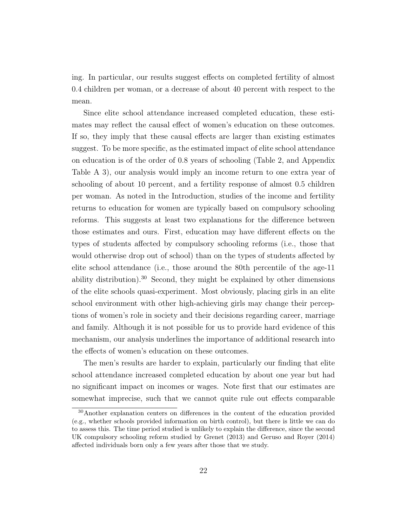ing. In particular, our results suggest effects on completed fertility of almost 0.4 children per woman, or a decrease of about 40 percent with respect to the mean.

Since elite school attendance increased completed education, these estimates may reflect the causal effect of women's education on these outcomes. If so, they imply that these causal effects are larger than existing estimates suggest. To be more specific, as the estimated impact of elite school attendance on education is of the order of 0.8 years of schooling (Table 2, and Appendix Table A 3), our analysis would imply an income return to one extra year of schooling of about 10 percent, and a fertility response of almost 0.5 children per woman. As noted in the Introduction, studies of the income and fertility returns to education for women are typically based on compulsory schooling reforms. This suggests at least two explanations for the difference between those estimates and ours. First, education may have different effects on the types of students affected by compulsory schooling reforms (i.e., those that would otherwise drop out of school) than on the types of students affected by elite school attendance (i.e., those around the 80th percentile of the age-11 ability distribution).<sup>30</sup> Second, they might be explained by other dimensions of the elite schools quasi-experiment. Most obviously, placing girls in an elite school environment with other high-achieving girls may change their perceptions of women's role in society and their decisions regarding career, marriage and family. Although it is not possible for us to provide hard evidence of this mechanism, our analysis underlines the importance of additional research into the effects of women's education on these outcomes.

The men's results are harder to explain, particularly our finding that elite school attendance increased completed education by about one year but had no significant impact on incomes or wages. Note first that our estimates are somewhat imprecise, such that we cannot quite rule out effects comparable

<sup>30</sup>Another explanation centers on differences in the content of the education provided (e.g., whether schools provided information on birth control), but there is little we can do to assess this. The time period studied is unlikely to explain the difference, since the second UK compulsory schooling reform studied by Grenet (2013) and Geruso and Royer (2014) affected individuals born only a few years after those that we study.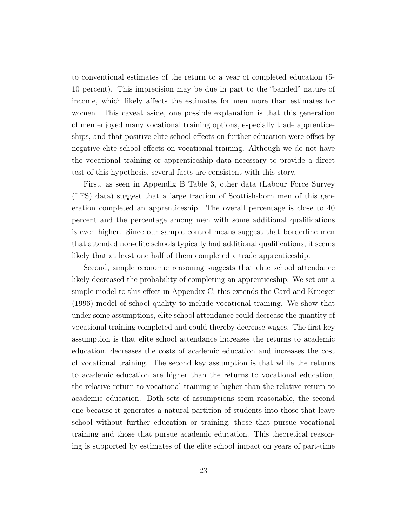to conventional estimates of the return to a year of completed education (5- 10 percent). This imprecision may be due in part to the "banded" nature of income, which likely affects the estimates for men more than estimates for women. This caveat aside, one possible explanation is that this generation of men enjoyed many vocational training options, especially trade apprenticeships, and that positive elite school effects on further education were offset by negative elite school effects on vocational training. Although we do not have the vocational training or apprenticeship data necessary to provide a direct test of this hypothesis, several facts are consistent with this story.

First, as seen in Appendix B Table 3, other data (Labour Force Survey (LFS) data) suggest that a large fraction of Scottish-born men of this generation completed an apprenticeship. The overall percentage is close to 40 percent and the percentage among men with some additional qualifications is even higher. Since our sample control means suggest that borderline men that attended non-elite schools typically had additional qualifications, it seems likely that at least one half of them completed a trade apprenticeship.

Second, simple economic reasoning suggests that elite school attendance likely decreased the probability of completing an apprenticeship. We set out a simple model to this effect in Appendix C; this extends the Card and Krueger (1996) model of school quality to include vocational training. We show that under some assumptions, elite school attendance could decrease the quantity of vocational training completed and could thereby decrease wages. The first key assumption is that elite school attendance increases the returns to academic education, decreases the costs of academic education and increases the cost of vocational training. The second key assumption is that while the returns to academic education are higher than the returns to vocational education, the relative return to vocational training is higher than the relative return to academic education. Both sets of assumptions seem reasonable, the second one because it generates a natural partition of students into those that leave school without further education or training, those that pursue vocational training and those that pursue academic education. This theoretical reasoning is supported by estimates of the elite school impact on years of part-time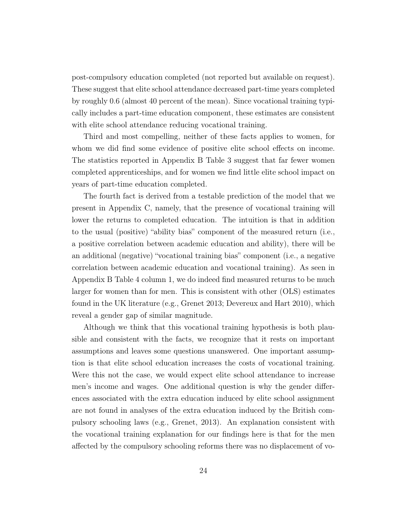post-compulsory education completed (not reported but available on request). These suggest that elite school attendance decreased part-time years completed by roughly 0.6 (almost 40 percent of the mean). Since vocational training typically includes a part-time education component, these estimates are consistent with elite school attendance reducing vocational training.

Third and most compelling, neither of these facts applies to women, for whom we did find some evidence of positive elite school effects on income. The statistics reported in Appendix B Table 3 suggest that far fewer women completed apprenticeships, and for women we find little elite school impact on years of part-time education completed.

The fourth fact is derived from a testable prediction of the model that we present in Appendix C, namely, that the presence of vocational training will lower the returns to completed education. The intuition is that in addition to the usual (positive) "ability bias" component of the measured return (i.e., a positive correlation between academic education and ability), there will be an additional (negative) "vocational training bias" component (i.e., a negative correlation between academic education and vocational training). As seen in Appendix B Table 4 column 1, we do indeed find measured returns to be much larger for women than for men. This is consistent with other (OLS) estimates found in the UK literature (e.g., Grenet 2013; Devereux and Hart 2010), which reveal a gender gap of similar magnitude.

Although we think that this vocational training hypothesis is both plausible and consistent with the facts, we recognize that it rests on important assumptions and leaves some questions unanswered. One important assumption is that elite school education increases the costs of vocational training. Were this not the case, we would expect elite school attendance to increase men's income and wages. One additional question is why the gender differences associated with the extra education induced by elite school assignment are not found in analyses of the extra education induced by the British compulsory schooling laws (e.g., Grenet, 2013). An explanation consistent with the vocational training explanation for our findings here is that for the men affected by the compulsory schooling reforms there was no displacement of vo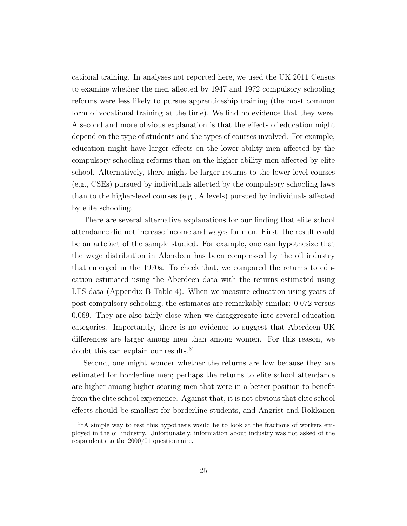cational training. In analyses not reported here, we used the UK 2011 Census to examine whether the men affected by 1947 and 1972 compulsory schooling reforms were less likely to pursue apprenticeship training (the most common form of vocational training at the time). We find no evidence that they were. A second and more obvious explanation is that the effects of education might depend on the type of students and the types of courses involved. For example, education might have larger effects on the lower-ability men affected by the compulsory schooling reforms than on the higher-ability men affected by elite school. Alternatively, there might be larger returns to the lower-level courses (e.g., CSEs) pursued by individuals affected by the compulsory schooling laws than to the higher-level courses (e.g., A levels) pursued by individuals affected by elite schooling.

There are several alternative explanations for our finding that elite school attendance did not increase income and wages for men. First, the result could be an artefact of the sample studied. For example, one can hypothesize that the wage distribution in Aberdeen has been compressed by the oil industry that emerged in the 1970s. To check that, we compared the returns to education estimated using the Aberdeen data with the returns estimated using LFS data (Appendix B Table 4). When we measure education using years of post-compulsory schooling, the estimates are remarkably similar: 0.072 versus 0.069. They are also fairly close when we disaggregate into several education categories. Importantly, there is no evidence to suggest that Aberdeen-UK differences are larger among men than among women. For this reason, we doubt this can explain our results.<sup>31</sup>

Second, one might wonder whether the returns are low because they are estimated for borderline men; perhaps the returns to elite school attendance are higher among higher-scoring men that were in a better position to benefit from the elite school experience. Against that, it is not obvious that elite school effects should be smallest for borderline students, and Angrist and Rokkanen

 $31A$  simple way to test this hypothesis would be to look at the fractions of workers employed in the oil industry. Unfortunately, information about industry was not asked of the respondents to the 2000/01 questionnaire.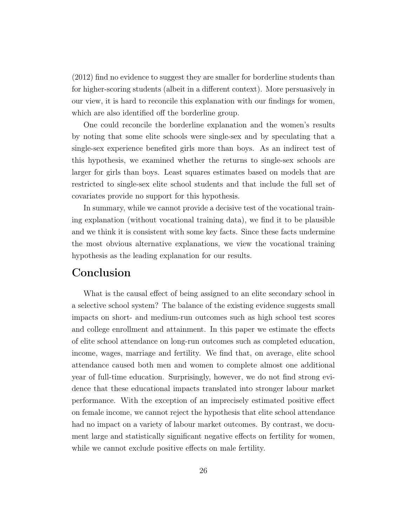(2012) find no evidence to suggest they are smaller for borderline students than for higher-scoring students (albeit in a different context). More persuasively in our view, it is hard to reconcile this explanation with our findings for women, which are also identified off the borderline group.

One could reconcile the borderline explanation and the women's results by noting that some elite schools were single-sex and by speculating that a single-sex experience benefited girls more than boys. As an indirect test of this hypothesis, we examined whether the returns to single-sex schools are larger for girls than boys. Least squares estimates based on models that are restricted to single-sex elite school students and that include the full set of covariates provide no support for this hypothesis.

In summary, while we cannot provide a decisive test of the vocational training explanation (without vocational training data), we find it to be plausible and we think it is consistent with some key facts. Since these facts undermine the most obvious alternative explanations, we view the vocational training hypothesis as the leading explanation for our results.

# Conclusion

What is the causal effect of being assigned to an elite secondary school in a selective school system? The balance of the existing evidence suggests small impacts on short- and medium-run outcomes such as high school test scores and college enrollment and attainment. In this paper we estimate the effects of elite school attendance on long-run outcomes such as completed education, income, wages, marriage and fertility. We find that, on average, elite school attendance caused both men and women to complete almost one additional year of full-time education. Surprisingly, however, we do not find strong evidence that these educational impacts translated into stronger labour market performance. With the exception of an imprecisely estimated positive effect on female income, we cannot reject the hypothesis that elite school attendance had no impact on a variety of labour market outcomes. By contrast, we document large and statistically significant negative effects on fertility for women, while we cannot exclude positive effects on male fertility.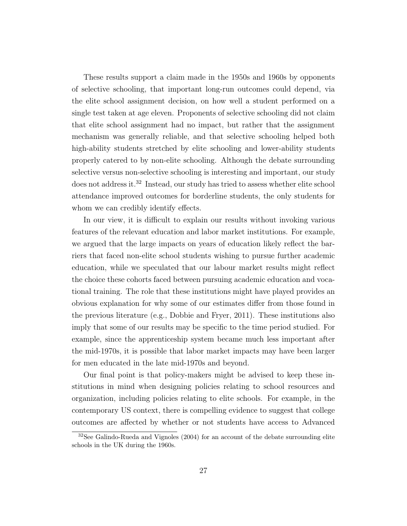These results support a claim made in the 1950s and 1960s by opponents of selective schooling, that important long-run outcomes could depend, via the elite school assignment decision, on how well a student performed on a single test taken at age eleven. Proponents of selective schooling did not claim that elite school assignment had no impact, but rather that the assignment mechanism was generally reliable, and that selective schooling helped both high-ability students stretched by elite schooling and lower-ability students properly catered to by non-elite schooling. Although the debate surrounding selective versus non-selective schooling is interesting and important, our study does not address it.<sup>32</sup> Instead, our study has tried to assess whether elite school attendance improved outcomes for borderline students, the only students for whom we can credibly identify effects.

In our view, it is difficult to explain our results without invoking various features of the relevant education and labor market institutions. For example, we argued that the large impacts on years of education likely reflect the barriers that faced non-elite school students wishing to pursue further academic education, while we speculated that our labour market results might reflect the choice these cohorts faced between pursuing academic education and vocational training. The role that these institutions might have played provides an obvious explanation for why some of our estimates differ from those found in the previous literature (e.g., Dobbie and Fryer, 2011). These institutions also imply that some of our results may be specific to the time period studied. For example, since the apprenticeship system became much less important after the mid-1970s, it is possible that labor market impacts may have been larger for men educated in the late mid-1970s and beyond.

Our final point is that policy-makers might be advised to keep these institutions in mind when designing policies relating to school resources and organization, including policies relating to elite schools. For example, in the contemporary US context, there is compelling evidence to suggest that college outcomes are affected by whether or not students have access to Advanced

<sup>32</sup>See Galindo-Rueda and Vignoles (2004) for an account of the debate surrounding elite schools in the UK during the 1960s.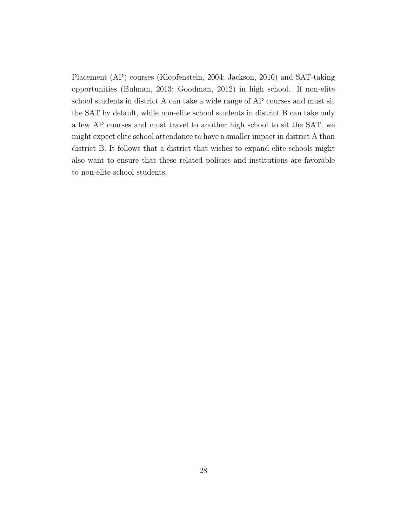Placement (AP) courses (Klopfenstein, 2004; Jackson, 2010) and SAT-taking opportunities (Bulman, 2013; Goodman, 2012) in high school. If non-elite school students in district A can take a wide range of AP courses and must sit the SAT by default, while non-elite school students in district B can take only a few AP courses and must travel to another high school to sit the SAT, we might expect elite school attendance to have a smaller impact in district A than district B. It follows that a district that wishes to expand elite schools might also want to ensure that these related policies and institutions are favorable to non-elite school students.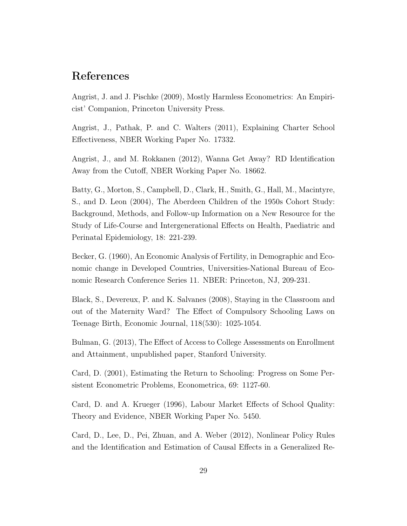### References

Angrist, J. and J. Pischke (2009), Mostly Harmless Econometrics: An Empiricist' Companion, Princeton University Press.

Angrist, J., Pathak, P. and C. Walters (2011), Explaining Charter School Effectiveness, NBER Working Paper No. 17332.

Angrist, J., and M. Rokkanen (2012), Wanna Get Away? RD Identification Away from the Cutoff, NBER Working Paper No. 18662.

Batty, G., Morton, S., Campbell, D., Clark, H., Smith, G., Hall, M., Macintyre, S., and D. Leon (2004), The Aberdeen Children of the 1950s Cohort Study: Background, Methods, and Follow-up Information on a New Resource for the Study of Life-Course and Intergenerational Effects on Health, Paediatric and Perinatal Epidemiology, 18: 221-239.

Becker, G. (1960), An Economic Analysis of Fertility, in Demographic and Economic change in Developed Countries, Universities-National Bureau of Economic Research Conference Series 11. NBER: Princeton, NJ, 209-231.

Black, S., Devereux, P. and K. Salvanes (2008), Staying in the Classroom and out of the Maternity Ward? The Effect of Compulsory Schooling Laws on Teenage Birth, Economic Journal, 118(530): 1025-1054.

Bulman, G. (2013), The Effect of Access to College Assessments on Enrollment and Attainment, unpublished paper, Stanford University.

Card, D. (2001), Estimating the Return to Schooling: Progress on Some Persistent Econometric Problems, Econometrica, 69: 1127-60.

Card, D. and A. Krueger (1996), Labour Market Effects of School Quality: Theory and Evidence, NBER Working Paper No. 5450.

Card, D., Lee, D., Pei, Zhuan, and A. Weber (2012), Nonlinear Policy Rules and the Identification and Estimation of Causal Effects in a Generalized Re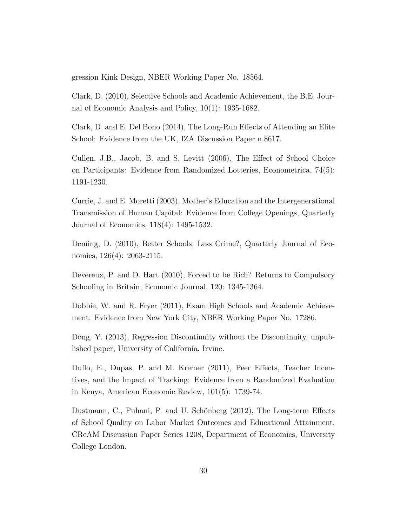gression Kink Design, NBER Working Paper No. 18564.

Clark, D. (2010), Selective Schools and Academic Achievement, the B.E. Journal of Economic Analysis and Policy, 10(1): 1935-1682.

Clark, D. and E. Del Bono (2014), The Long-Run Effects of Attending an Elite School: Evidence from the UK, IZA Discussion Paper n.8617.

Cullen, J.B., Jacob, B. and S. Levitt (2006), The Effect of School Choice on Participants: Evidence from Randomized Lotteries, Econometrica, 74(5): 1191-1230.

Currie, J. and E. Moretti (2003), Mother's Education and the Intergenerational Transmission of Human Capital: Evidence from College Openings, Quarterly Journal of Economics, 118(4): 1495-1532.

Deming, D. (2010), Better Schools, Less Crime?, Quarterly Journal of Economics, 126(4): 2063-2115.

Devereux, P. and D. Hart (2010), Forced to be Rich? Returns to Compulsory Schooling in Britain, Economic Journal, 120: 1345-1364.

Dobbie, W. and R. Fryer (2011), Exam High Schools and Academic Achievement: Evidence from New York City, NBER Working Paper No. 17286.

Dong, Y. (2013), Regression Discontinuity without the Discontinuity, unpublished paper, University of California, Irvine.

Duflo, E., Dupas, P. and M. Kremer (2011), Peer Effects, Teacher Incentives, and the Impact of Tracking: Evidence from a Randomized Evaluation in Kenya, American Economic Review, 101(5): 1739-74.

Dustmann, C., Puhani, P. and U. Schönberg (2012), The Long-term Effects of School Quality on Labor Market Outcomes and Educational Attainment, CReAM Discussion Paper Series 1208, Department of Economics, University College London.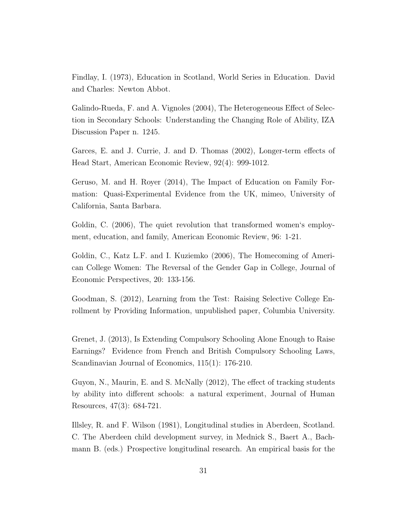Findlay, I. (1973), Education in Scotland, World Series in Education. David and Charles: Newton Abbot.

Galindo-Rueda, F. and A. Vignoles (2004), The Heterogeneous Effect of Selection in Secondary Schools: Understanding the Changing Role of Ability, IZA Discussion Paper n. 1245.

Garces, E. and J. Currie, J. and D. Thomas (2002), Longer-term effects of Head Start, American Economic Review, 92(4): 999-1012.

Geruso, M. and H. Royer (2014), The Impact of Education on Family Formation: Quasi-Experimental Evidence from the UK, mimeo, University of California, Santa Barbara.

Goldin, C. (2006), The quiet revolution that transformed women's employment, education, and family, American Economic Review, 96: 1-21.

Goldin, C., Katz L.F. and I. Kuziemko (2006), The Homecoming of American College Women: The Reversal of the Gender Gap in College, Journal of Economic Perspectives, 20: 133-156.

Goodman, S. (2012), Learning from the Test: Raising Selective College Enrollment by Providing Information, unpublished paper, Columbia University.

Grenet, J. (2013), Is Extending Compulsory Schooling Alone Enough to Raise Earnings? Evidence from French and British Compulsory Schooling Laws, Scandinavian Journal of Economics, 115(1): 176-210.

Guyon, N., Maurin, E. and S. McNally (2012), The effect of tracking students by ability into different schools: a natural experiment, Journal of Human Resources, 47(3): 684-721.

Illsley, R. and F. Wilson (1981), Longitudinal studies in Aberdeen, Scotland. C. The Aberdeen child development survey, in Mednick S., Baert A., Bachmann B. (eds.) Prospective longitudinal research. An empirical basis for the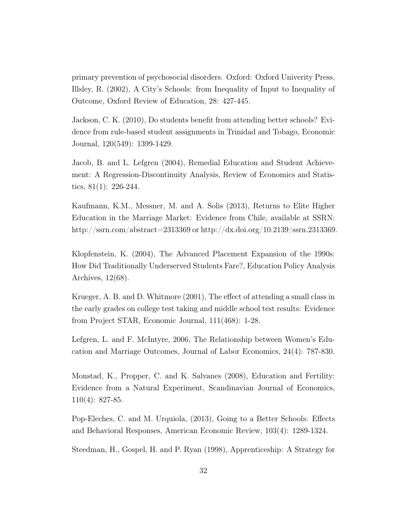primary prevention of psychosocial disorders. Oxford: Oxford Univerity Press. Illsley, R. (2002), A City's Schools: from Inequality of Input to Inequality of Outcome, Oxford Review of Education, 28: 427-445.

Jackson, C. K. (2010), Do students benefit from attending better schools? Evidence from rule-based student assignments in Trinidad and Tobago, Economic Journal, 120(549): 1399-1429.

Jacob, B. and L. Lefgren (2004), Remedial Education and Student Achievement: A Regression-Discontinuity Analysis, Review of Economics and Statistics,  $81(1)$ : 226-244.

Kaufmann, K.M., Messner, M. and A. Solis (2013), Returns to Elite Higher Education in the Marriage Market: Evidence from Chile, available at SSRN: http://ssrn.com/abstract=2313369 or http://dx.doi.org/10.2139/ssrn.2313369.

Klopfenstein, K. (2004), The Advanced Placement Expansion of the 1990s: How Did Traditionally Underserved Students Fare?, Education Policy Analysis Archives, 12(68).

Krueger, A. B. and D. Whitmore (2001), The effect of attending a small class in the early grades on college test taking and middle school test results: Evidence from Project STAR, Economic Journal, 111(468): 1-28.

Lefgren, L. and F. McIntyre, 2006, The Relationship between Women's Education and Marriage Outcomes, Journal of Labor Economics, 24(4): 787-830.

Monstad, K., Propper, C. and K. Salvanes (2008), Education and Fertility: Evidence from a Natural Experiment, Scandinavian Journal of Economics, 110(4): 827-85.

Pop-Eleches, C. and M. Urquiola, (2013), Going to a Better Schools: Effects and Behavioral Responses, American Economic Review, 103(4): 1289-1324.

Steedman, H., Gospel, H. and P. Ryan (1998), Apprenticeship: A Strategy for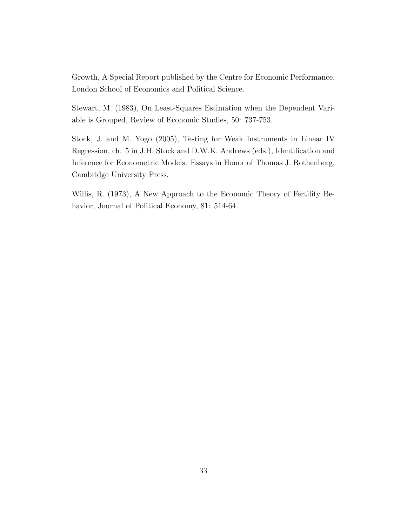Growth, A Special Report published by the Centre for Economic Performance, London School of Economics and Political Science.

Stewart, M. (1983), On Least-Squares Estimation when the Dependent Variable is Grouped, Review of Economic Studies, 50: 737-753.

Stock, J. and M. Yogo (2005), Testing for Weak Instruments in Linear IV Regression, ch. 5 in J.H. Stock and D.W.K. Andrews (eds.), Identification and Inference for Econometric Models: Essays in Honor of Thomas J. Rothenberg, Cambridge University Press.

Willis, R. (1973), A New Approach to the Economic Theory of Fertility Behavior, Journal of Political Economy, 81: 514-64.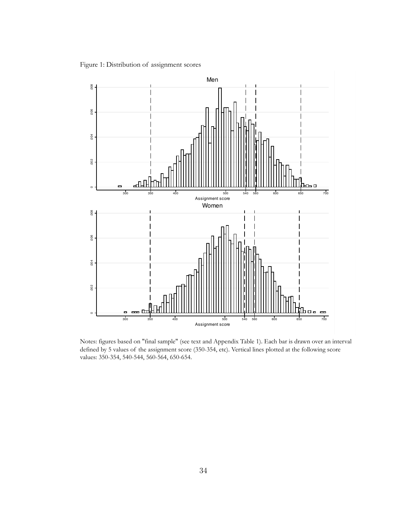Figure 1: Distribution of assignment scores



Notes: figures based on "final sample" (see text and Appendix Table 1). Each bar is drawn over an interval defined by 5 values of the assignment score (350-354, etc). Vertical lines plotted at the following score values: 350-354, 540-544, 560-564, 650-654.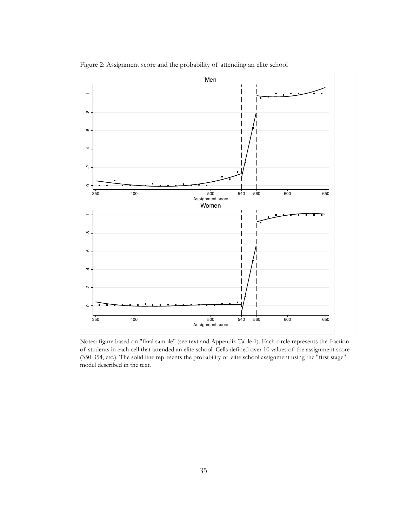

Figure 2: Assignment score and the probability of attending an elite school

Notes: figure based on "final sample" (see text and Appendix Table 1). Each circle represents the fraction of students in each cell that attended an elite school. Cells defined over 10 values of the assignment score (350-354, etc.). The solid line represents the probability of elite school assignment using the "first stage" model described in the text.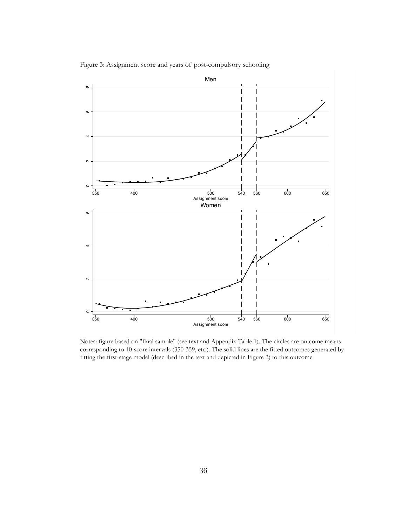

Figure 3: Assignment score and years of post-compulsory schooling

Notes: figure based on "final sample" (see text and Appendix Table 1). The circles are outcome means corresponding to 10-score intervals (350-359, etc.). The solid lines are the fitted outcomes generated by fitting the first-stage model (described in the text and depicted in Figure 2) to this outcome.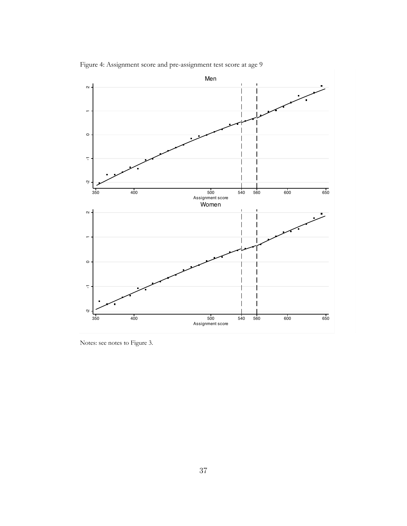Figure 4: Assignment score and pre-assignment test score at age 9



Notes: see notes to Figure 3.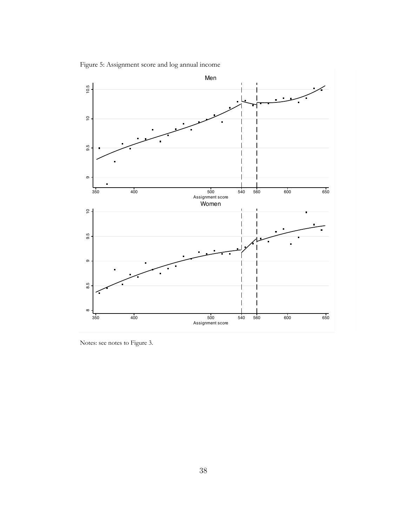Figure 5: Assignment score and log annual income



Notes: see notes to Figure 3.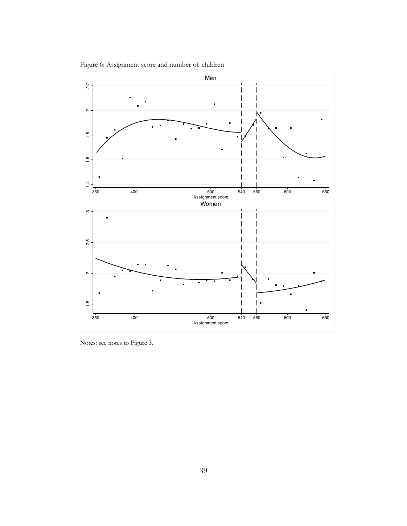Figure 6: Assignment score and number of children

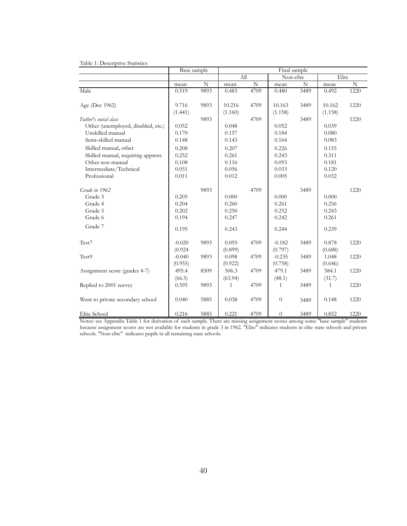|  | Table 1: Descriptive Statistics |  |  |  |  |  |  |  |
|--|---------------------------------|--|--|--|--|--|--|--|
|--|---------------------------------|--|--|--|--|--|--|--|

|                                    | Base sample |      | Final sample |             |                  |      |         |      |
|------------------------------------|-------------|------|--------------|-------------|------------------|------|---------|------|
|                                    |             |      | All          |             | Non-elite        |      | Elite   |      |
|                                    | mean        | N    | mean         | $\mathbf N$ | mean             | N    | mean    | N    |
| Male                               | 0.519       | 9893 | 0.483        | 4709        | 0.480            | 3489 | 0.492   | 1220 |
|                                    |             |      |              |             |                  |      |         |      |
| Age (Dec 1962)                     | 9.716       | 9893 | 10.216       | 4709        | 10.163           | 3489 | 10.162  | 1220 |
|                                    | (1.441)     |      | (1.160)      |             | (1.158)          |      | (1.158) |      |
| Father's social class              |             | 9893 |              | 4709        |                  | 3489 |         | 1220 |
| Other (unemployed, disabled, etc.) | 0.052       |      | 0.048        |             | 0.052            |      | 0.039   |      |
| Unskilled manual                   | 0.170       |      | 0.157        |             | 0.184            |      | 0.080   |      |
| Semi-skilled manual                | 0.148       |      | 0.143        |             | 0.164            |      | 0.083   |      |
| Skilled manual, other              | 0.208       |      | 0.207        |             | 0.226            |      | 0.155   |      |
| Skilled manual, requiring apprent. | 0.252       |      | 0.261        |             | 0.243            |      | 0.311   |      |
| Other non manual                   | 0.108       |      | 0.116        |             | 0.093            |      | 0.181   |      |
| Intermediate/Technical             | 0.051       |      | 0.056        |             | 0.033            |      | 0.120   |      |
| Professional                       | 0.011       |      | 0.012        |             | 0.005            |      | 0.032   |      |
| Grade in 1962                      |             | 9893 |              | 4709        |                  | 3489 |         | 1220 |
| Grade 3                            | 0.205       |      | 0.000        |             | 0.000            |      | 0.000   |      |
| Grade 4                            | 0.204       |      | 0.260        |             | 0.261            |      | 0.256   |      |
| Grade 5                            | 0.202       |      | 0.250        |             | 0.252            |      | 0.243   |      |
| Grade 6                            | 0.194       |      | 0.247        |             | 0.242            |      | 0.261   |      |
| Grade 7                            | 0.195       |      | 0.243        |             | 0.244            |      | 0.239   |      |
|                                    |             |      |              |             |                  |      |         |      |
| Test7                              | $-0.020$    | 9893 | 0.093        | 4709        | $-0.182$         | 3489 | 0.878   | 1220 |
|                                    | (0.924)     |      | (0.899)      |             | (0.797)          |      | (0.688) |      |
| Test9                              | $-0.040$    | 9893 | 0.098        | 4709        | $-0.235$         | 3489 | 1.048   | 1220 |
|                                    | (0.955)     |      | (0.922)      |             | (0.758)          |      | (0.646) |      |
| Assignment score (grades 4-7)      | 495.4       | 8509 | 506.3        | 4709        | 479.1            | 3489 | 584.1   | 1220 |
|                                    | (66.5)      |      | (63.94)      |             | (48.1)           |      | (31.7)  |      |
| Replied to 2001 survey             | 0.595       | 9893 | $\mathbf{1}$ | 4709        | $\mathbf{1}$     | 3489 | 1       | 1220 |
| Went to private secondary school   | 0.040       | 5885 | 0.038        | 4709        | $\boldsymbol{0}$ | 3489 | 0.148   | 1220 |
|                                    |             |      |              |             |                  |      |         |      |
| Elite School                       | 0.216       | 5885 | 0.221        | 4709        | $\theta$         | 3489 | 0.852   | 1220 |

Notes: see Appendix Table 1 for derivation of each sample. There are missing assignment scores among some "base sample" students because assignment scores are not available for students in grade 3 in 1962. "Elite" indicates students in elite state schools and private schools. "Non-elite" indicates pupils in all remaining state schools.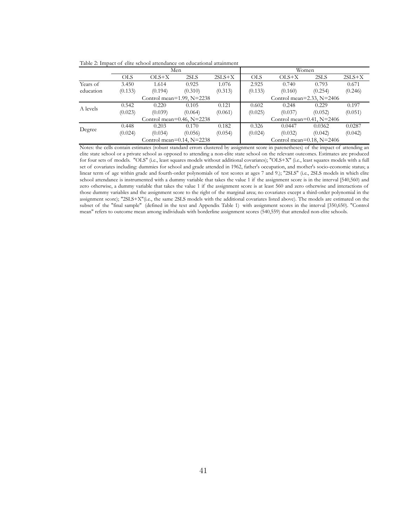Table 2: Impact of elite school attendance on educational attainment

|           |            |                                  | Men     |          | Women                            |         |         |          |  |
|-----------|------------|----------------------------------|---------|----------|----------------------------------|---------|---------|----------|--|
|           | <b>OLS</b> | $OLS+X$                          | 2SLS    | $2SLS+X$ | <b>OLS</b>                       | $OLS+X$ | 2SLS    | $2SLS+X$ |  |
| Years of  | 3.450      | 1.614                            | 0.925   | 1.076    | 2.925                            | 0.740   | 0.793   | 0.671    |  |
| education | (0.133)    | (0.194)                          | (0.310) | (0.313)  | (0.133)                          | (0.160) | (0.254) | (0.246)  |  |
|           |            | Control mean= $1.99$ , N= $2238$ |         |          | Control mean= $2.33$ , N= $2406$ |         |         |          |  |
| A levels  | 0.542      | 0.220                            | 0.105   | 0.121    | 0.602                            | 0.248   | 0.229   | 0.197    |  |
|           | (0.023)    | (0.039)                          | (0.064) | (0.061)  | (0.025)                          | (0.037) | (0.052) | (0.051)  |  |
|           |            | Control mean= $0.46$ , N= $2238$ |         |          | Control mean= $0.41$ , N= $2406$ |         |         |          |  |
| Degree    | 0.448      | 0.203                            | 0.170   | 0.182    | 0.326                            | 0.0447  | 0.0362  | 0.0287   |  |
|           | (0.024)    | (0.034)                          | (0.056) | (0.054)  | (0.024)                          | (0.032) | (0.042) | (0.042)  |  |
|           |            | Control mean= $0.14$ , N= $2238$ |         |          | Control mean= $0.18$ , N= $2406$ |         |         |          |  |

Notes: the cells contain estimates (robust standard errors clustered by assignment score in parenetheses) of the impact of attending an elite state school or a private school as opposed to attending a non-elite state school on the relevant outcomes. Estimates are produced for four sets of models. "OLS" (i.e., least squares models without additional covariates); "OLS+X" (i.e., least squares models with a full set of covariates including: dummies for school and grade attended in 1962, father's occupation, and mother's socio-economic status; a linear term of age within grade and fourth-order polynomials of test scores at ages 7 and 9.); "2SLS" (i.e., 2SLS models in which elite school attendance is instrumented with a dummy variable that takes the value 1 if the assignment score is in the interval [540,560) and zero otherwise, a dummy variable that takes the value 1 if the assignment score is at least 560 and zero otherwise and interactions of those dummy variables and the assignment score to the right of the marginal area; no covariates except a third-order polynomial in the assignment score); "2SLS+X"(i.e., the same 2SLS models with the additional covariates listed above). The models are estimated on the subset of the "final sample" (defined in the text and Appendix Table 1) with assignment scores in the interval [350,650). "Control mean" refers to outcome mean among individuals with borderline assignment scores (540,559) that attended non-elite schools.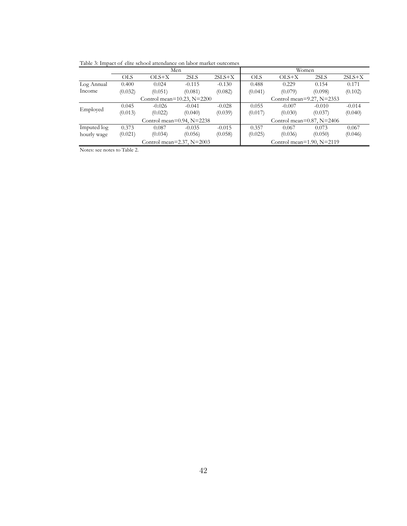Table 3: Impact of elite school attendance on labor market outcomes

|             | Men                              |                                   |          |          | Women                            |                                  |          |          |  |  |
|-------------|----------------------------------|-----------------------------------|----------|----------|----------------------------------|----------------------------------|----------|----------|--|--|
|             | OLS                              | $OLS+X$                           | 2SLS     | $2SLS+X$ | <b>OLS</b>                       | $OLS+X$                          | 2SLS     | $2SLS+X$ |  |  |
| Log Annual  | 0.400                            | 0.024                             | $-0.115$ | $-0.130$ | 0.488                            | 0.229                            | 0.154    | 0.171    |  |  |
| Income      | (0.032)                          | (0.051)                           | (0.081)  | (0.082)  | (0.041)                          | (0.079)                          | (0.098)  | (0.102)  |  |  |
|             |                                  | Control mean= $10.23$ , N= $2200$ |          |          | Control mean= $9.27$ , N= $2353$ |                                  |          |          |  |  |
| Employed    | 0.045                            | $-0.026$                          | $-0.041$ | $-0.028$ | 0.055                            | $-0.007$                         | $-0.010$ | $-0.014$ |  |  |
|             | (0.013)                          | (0.022)                           | (0.040)  | (0.039)  | (0.017)                          | (0.030)                          | (0.037)  | (0.040)  |  |  |
|             | Control mean= $0.94$ , N= $2238$ |                                   |          |          |                                  | Control mean= $0.87$ , N= $2406$ |          |          |  |  |
| Imputed log | 0.373                            | 0.087                             | $-0.035$ | $-0.015$ | 0.357                            | 0.067                            | 0.073    | 0.067    |  |  |
| hourly wage | (0.021)                          | (0.034)                           | (0.056)  | (0.058)  | (0.025)                          | (0.036)                          | (0.050)  | (0.046)  |  |  |
|             | Control mean= $2.37$ , N= $2003$ |                                   |          |          |                                  | Control mean= $1.90$ , N= $2119$ |          |          |  |  |

Notes: see notes to Table 2.